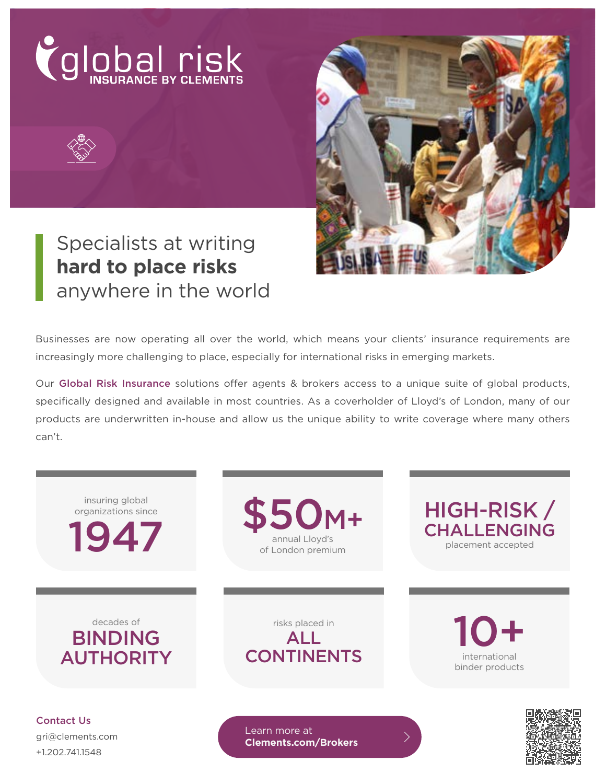



# Specialists at writing **hard to place risks** anywhere in the world

Businesses are now operating all over the world, which means your clients' insurance requirements are increasingly more challenging to place, especially for international risks in emerging markets.

Our Global Risk Insurance solutions offer agents & brokers access to a unique suite of global products, specifically designed and available in most countries. As a coverholder of Lloyd's of London, many of our products are underwritten in-house and allow us the unique ability to write coverage where many others can't.



+1.202.741.1548

**[Clements.com/Brokers](https://www.clements.com/wholesale-broker-partnerships?&utm_source=collateral&utm_medium=flyer&utm_campaign=gri&utm_content=vanity)**